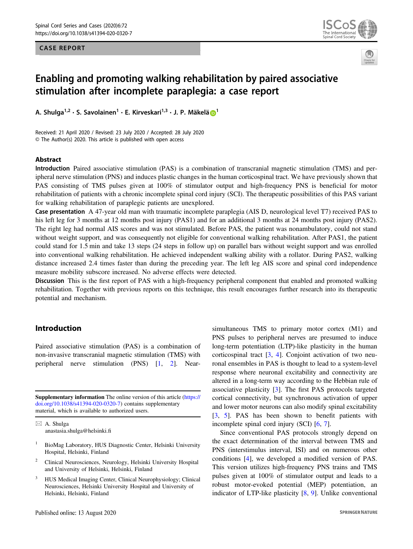# CASE REPORT





# Enabling and promoting walking rehabilitation by paired associative stimulation after incomplete paraplegia: a case report

A. Shuiga [1](http://orcid.org/0000-0003-1252-4728)993. Savolainen III e. Kirveskari 11 P. J. P. Mäkelä <mark>19</mark><br>.

Received: 21 April 2020 / Revised: 23 July 2020 / Accepted: 28 July 2020 © The Author(s) 2020. This article is published with open access

#### Abstract

Introduction Paired associative stimulation (PAS) is a combination of transcranial magnetic stimulation (TMS) and peripheral nerve stimulation (PNS) and induces plastic changes in the human corticospinal tract. We have previously shown that PAS consisting of TMS pulses given at 100% of stimulator output and high-frequency PNS is beneficial for motor rehabilitation of patients with a chronic incomplete spinal cord injury (SCI). The therapeutic possibilities of this PAS variant for walking rehabilitation of paraplegic patients are unexplored.

Case presentation A 47-year old man with traumatic incomplete paraplegia (AIS D, neurological level T7) received PAS to his left leg for 3 months at 12 months post injury (PAS1) and for an additional 3 months at 24 months post injury (PAS2). The right leg had normal AIS scores and was not stimulated. Before PAS, the patient was nonambulatory, could not stand without weight support, and was consequently not eligible for conventional walking rehabilitation. After PAS1, the patient could stand for 1.5 min and take 13 steps (24 steps in follow up) on parallel bars without weight support and was enrolled into conventional walking rehabilitation. He achieved independent walking ability with a rollator. During PAS2, walking distance increased 2.4 times faster than during the preceding year. The left leg AIS score and spinal cord independence measure mobility subscore increased. No adverse effects were detected.

Discussion This is the first report of PAS with a high-frequency peripheral component that enabled and promoted walking rehabilitation. Together with previous reports on this technique, this result encourages further research into its therapeutic potential and mechanism.

# Introduction

Paired associative stimulation (PAS) is a combination of non-invasive transcranial magnetic stimulation (TMS) with peripheral nerve stimulation (PNS) [\[1](#page-5-0), [2](#page-5-0)]. Near-

Supplementary information The online version of this article ([https://](https://doi.org/10.1038/s41394-020-0320-7) [doi.org/10.1038/s41394-020-0320-7\)](https://doi.org/10.1038/s41394-020-0320-7) contains supplementary material, which is available to authorized users.

 $\boxtimes$  A. Shulga [anastasia.shulga@helsinki.](mailto:anastasia.shulga@helsinki.fi)fi

- <sup>1</sup> BioMag Laboratory, HUS Diagnostic Center, Helsinki University Hospital, Helsinki, Finland
- <sup>2</sup> Clinical Neurosciences, Neurology, Helsinki University Hospital and University of Helsinki, Helsinki, Finland
- <sup>3</sup> HUS Medical Imaging Center, Clinical Neurophysiology; Clinical Neurosciences, Helsinki University Hospital and University of Helsinki, Helsinki, Finland

simultaneous TMS to primary motor cortex (M1) and PNS pulses to peripheral nerves are presumed to induce long-term potentiation (LTP)-like plasticity in the human corticospinal tract [\[3](#page-5-0), [4\]](#page-5-0). Conjoint activation of two neuronal ensembles in PAS is thought to lead to a system-level response where neuronal excitability and connectivity are altered in a long-term way according to the Hebbian rule of associative plasticity [[3\]](#page-5-0). The first PAS protocols targeted cortical connectivity, but synchronous activation of upper and lower motor neurons can also modify spinal excitability [\[3](#page-5-0), [5](#page-5-0)]. PAS has been shown to benefit patients with incomplete spinal cord injury (SCI) [\[6](#page-5-0), [7](#page-5-0)].

Since conventional PAS protocols strongly depend on the exact determination of the interval between TMS and PNS (interstimulus interval, ISI) and on numerous other conditions [[4\]](#page-5-0), we developed a modified version of PAS. This version utilizes high-frequency PNS trains and TMS pulses given at 100% of stimulator output and leads to a robust motor-evoked potential (MEP) potentiation, an indicator of LTP-like plasticity [[8,](#page-5-0) [9\]](#page-5-0). Unlike conventional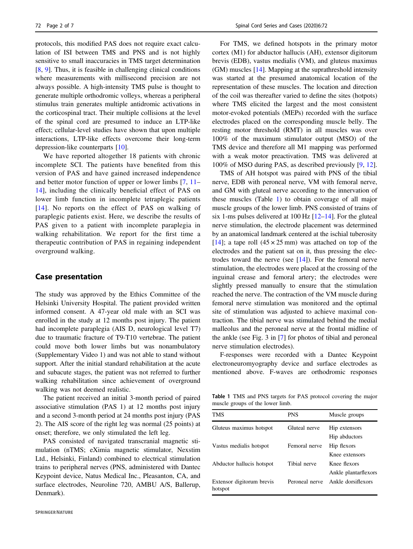<span id="page-1-0"></span>protocols, this modified PAS does not require exact calculation of ISI between TMS and PNS and is not highly sensitive to small inaccuracies in TMS target determination [\[8](#page-5-0), [9\]](#page-5-0). Thus, it is feasible in challenging clinical conditions where measurements with millisecond precision are not always possible. A high-intensity TMS pulse is thought to generate multiple orthodromic volleys, whereas a peripheral stimulus train generates multiple antidromic activations in the corticospinal tract. Their multiple collisions at the level of the spinal cord are presumed to induce an LTP-like effect; cellular-level studies have shown that upon multiple interactions, LTP-like effects overcome their long-term depression-like counterparts [[10\]](#page-5-0).

We have reported altogether 18 patients with chronic incomplete SCI. The patients have benefited from this version of PAS and have gained increased independence and better motor function of upper or lower limbs [\[7](#page-5-0), [11](#page-5-0)– [14](#page-6-0)], including the clinically beneficial effect of PAS on lower limb function in incomplete tetraplegic patients [\[14\]](#page-6-0). No reports on the effect of PAS on walking of paraplegic patients exist. Here, we describe the results of PAS given to a patient with incomplete paraplegia in walking rehabilitation. We report for the first time a therapeutic contribution of PAS in regaining independent overground walking.

## Case presentation

The study was approved by the Ethics Committee of the Helsinki University Hospital. The patient provided written informed consent. A 47-year old male with an SCI was enrolled in the study at 12 months post injury. The patient had incomplete paraplegia (AIS D, neurological level T7) due to traumatic fracture of T9-T10 vertebrae. The patient could move both lower limbs but was nonambulatory (Supplementary Video 1) and was not able to stand without support. After the initial standard rehabilitation at the acute and subacute stages, the patient was not referred to further walking rehabilitation since achievement of overground walking was not deemed realistic.

The patient received an initial 3-month period of paired associative stimulation (PAS 1) at 12 months post injury and a second 3-month period at 24 months post injury (PAS 2). The AIS score of the right leg was normal (25 points) at onset; therefore, we only stimulated the left leg.

PAS consisted of navigated transcranial magnetic stimulation (nTMS; eXimia magnetic stimulator, Nexstim Ltd., Helsinki, Finland) combined to electrical stimulation trains to peripheral nerves (PNS, administered with Dantec Keypoint device, Natus Medical Inc., Pleasanton, CA, and surface electrodes, Neuroline 720, AMBU A/S, Ballerup, Denmark).

For TMS, we defined hotspots in the primary motor cortex (M1) for abductor hallucis (AH), extensor digitorum brevis (EDB), vastus medialis (VM), and gluteus maximus (GM) muscles [[14\]](#page-6-0). Mapping at the suprathreshold intensity was started at the presumed anatomical location of the representation of these muscles. The location and direction of the coil was thereafter varied to define the sites (hotpots) where TMS elicited the largest and the most consistent motor-evoked potentials (MEPs) recorded with the surface electrodes placed on the corresponding muscle belly. The resting motor threshold (RMT) in all muscles was over 100% of the maximum stimulator output (MSO) of the TMS device and therefore all M1 mapping was performed with a weak motor preactivation. TMS was delivered at 100% of MSO during PAS, as described previously [\[9](#page-5-0), [12\]](#page-5-0).

TMS of AH hotspot was paired with PNS of the tibial nerve, EDB with peroneal nerve, VM with femoral nerve, and GM with gluteal nerve according to the innervation of these muscles (Table 1) to obtain coverage of all major muscle groups of the lower limb. PNS consisted of trains of six 1-ms pulses delivered at 100 Hz [\[12](#page-5-0)–[14](#page-6-0)]. For the gluteal nerve stimulation, the electrode placement was determined by an anatomical landmark centered at the ischial tuberosity [\[14](#page-6-0)]; a tape roll  $(45 \times 25 \text{ mm})$  was attached on top of the electrodes and the patient sat on it, thus pressing the electrodes toward the nerve (see  $[14]$  $[14]$ ). For the femoral nerve stimulation, the electrodes were placed at the crossing of the inguinal crease and femoral artery; the electrodes were slightly pressed manually to ensure that the stimulation reached the nerve. The contraction of the VM muscle during femoral nerve stimulation was monitored and the optimal site of stimulation was adjusted to achieve maximal contraction. The tibial nerve was stimulated behind the medial malleolus and the peroneal nerve at the frontal midline of the ankle (see Fig. 3 in [\[7](#page-5-0)] for photos of tibial and peroneal nerve stimulation electrodes).

F-responses were recorded with a Dantec Keypoint electroneuromyography device and surface electrodes as mentioned above. F-waves are orthodromic responses

Table 1 TMS and PNS targets for PAS protocol covering the major muscle groups of the lower limb.

| TMS                                  | <b>PNS</b>     | Muscle groups        |  |
|--------------------------------------|----------------|----------------------|--|
| Gluteus maximus hotspot              | Gluteal nerve  | Hip extensors        |  |
|                                      |                | Hip abductors        |  |
| Vastus medialis hotspot              | Femoral nerve  | Hip flexors          |  |
|                                      |                | Knee extensors       |  |
| Abductor hallucis hotspot            | Tibial nerve   | Knee flexors         |  |
|                                      |                | Ankle plantarflexors |  |
| Extensor digitorum brevis<br>hotspot | Peroneal nerve | Ankle dorsiflexors   |  |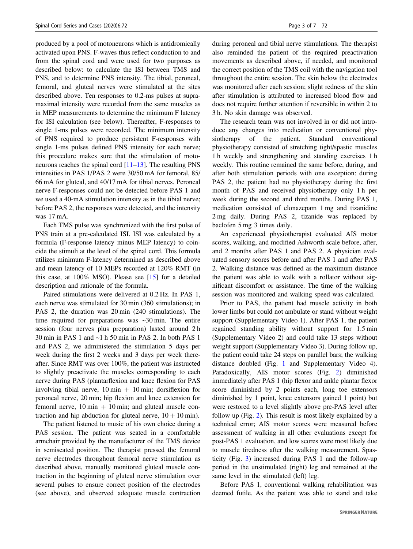produced by a pool of motoneurons which is antidromically activated upon PNS. F-waves thus reflect conduction to and from the spinal cord and were used for two purposes as described below: to calculate the ISI between TMS and PNS, and to determine PNS intensity. The tibial, peroneal, femoral, and gluteal nerves were stimulated at the sites described above. Ten responses to 0.2-ms pulses at supramaximal intensity were recorded from the same muscles as in MEP measurements to determine the minimum F latency for ISI calculation (see below). Thereafter, F-responses to single 1-ms pulses were recorded. The minimum intensity of PNS required to produce persistent F-responses with single 1-ms pulses defined PNS intensity for each nerve; this procedure makes sure that the stimulation of motoneurons reaches the spinal cord [\[11](#page-5-0)–[13](#page-5-0)]. The resulting PNS intensities in PAS 1/PAS 2 were 30/50 mA for femoral, 85/ 66 mA for gluteal, and 40/17 mA for tibial nerves. Peroneal nerve F-responses could not be detected before PAS 1 and we used a 40-mA stimulation intensity as in the tibial nerve; before PAS 2, the responses were detected, and the intensity was 17 mA.

Each TMS pulse was synchronized with the first pulse of PNS train at a pre-calculated ISI. ISI was calculated by a formula (F-response latency minus MEP latency) to coincide the stimuli at the level of the spinal cord. This formula utilizes minimum F-latency determined as described above and mean latency of 10 MEPs recorded at 120% RMT (in this case, at 100% MSO). Please see [\[15](#page-6-0)] for a detailed description and rationale of the formula.

Paired stimulations were delivered at 0.2 Hz. In PAS 1, each nerve was stimulated for 30 min (360 stimulations); in PAS 2, the duration was 20 min (240 stimulations). The time required for preparations was  $\sim$ 30 min. The entire session (four nerves plus preparation) lasted around 2 h 30 min in PAS 1 and ~1 h 50 min in PAS 2. In both PAS 1 and PAS 2, we administered the stimulation 5 days per week during the first 2 weeks and 3 days per week thereafter. Since RMT was over 100%, the patient was instructed to slightly preactivate the muscles corresponding to each nerve during PAS (plantarflexion and knee flexion for PAS involving tibial nerve,  $10 \text{ min} + 10 \text{ min}$ ; dorsiflexion for peroneal nerve, 20 min; hip flexion and knee extension for femoral nerve,  $10 \text{ min} + 10 \text{ min}$ ; and gluteal muscle contraction and hip abduction for gluteal nerve,  $10 + 10$  min).

The patient listened to music of his own choice during a PAS session. The patient was seated in a comfortable armchair provided by the manufacturer of the TMS device in semiseated position. The therapist pressed the femoral nerve electrodes throughout femoral nerve stimulation as described above, manually monitored gluteal muscle contraction in the beginning of gluteal nerve stimulation over several pulses to ensure correct position of the electrodes (see above), and observed adequate muscle contraction during peroneal and tibial nerve stimulations. The therapist also reminded the patient of the required preactivation movements as described above, if needed, and monitored the correct position of the TMS coil with the navigation tool throughout the entire session. The skin below the electrodes was monitored after each session; slight redness of the skin after stimulation is attributed to increased blood flow and does not require further attention if reversible in within 2 to 3 h. No skin damage was observed.

The research team was not involved in or did not introduce any changes into medication or conventional physiotherapy of the patient. Standard conventional physiotherapy consisted of stretching tight/spastic muscles 1 h weekly and strengthening and standing exercises 1 h weekly. This routine remained the same before, during, and after both stimulation periods with one exception: during PAS 2, the patient had no physiotherapy during the first month of PAS and received physiotherapy only 1 h per week during the second and third months. During PAS 1, medication consisted of clonazepam 1 mg and tizanidine 2 mg daily. During PAS 2, tizanide was replaced by baclofen 5 mg 3 times daily.

An experienced physiotherapist evaluated AIS motor scores, walking, and modified Ashworth scale before, after, and 2 months after PAS 1 and PAS 2. A physician evaluated sensory scores before and after PAS 1 and after PAS 2. Walking distance was defined as the maximum distance the patient was able to walk with a rollator without significant discomfort or assistance. The time of the walking session was monitored and walking speed was calculated.

Prior to PAS, the patient had muscle activity in both lower limbs but could not ambulate or stand without weight support (Supplementary Video 1). After PAS 1, the patient regained standing ability without support for 1.5 min (Supplementary Video 2) and could take 13 steps without weight support (Supplementary Video 3). During follow up, the patient could take 24 steps on parallel bars; the walking distance doubled (Fig. [1](#page-3-0) and Supplementary Video 4). Paradoxically, AIS motor scores (Fig. [2](#page-3-0)) diminished immediately after PAS 1 (hip flexor and ankle plantar flexor score diminished by 2 points each, long toe extensors diminished by 1 point, knee extensors gained 1 point) but were restored to a level slightly above pre-PAS level after follow up (Fig. [2\)](#page-3-0). This result is most likely explained by a technical error; AIS motor scores were measured before assessment of walking in all other evaluations except for post-PAS 1 evaluation, and low scores were most likely due to muscle tiredness after the walking measurement. Spasticity (Fig. [3\)](#page-3-0) increased during PAS 1 and the follow-up period in the unstimulated (right) leg and remained at the same level in the stimulated (left) leg.

Before PAS 1, conventional walking rehabilitation was deemed futile. As the patient was able to stand and take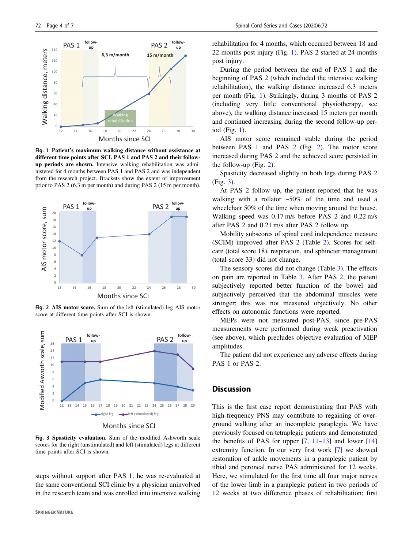<span id="page-3-0"></span>

Fig. 1 Patient's maximum walking distance without assistance at different time points after SCI. PAS 1 and PAS 2 and their followup periods are shown. Intensive walking rehabilitation was administered for 4 months between PAS 1 and PAS 2 and was independent from the research project. Brackets show the extent of improvement prior to PAS 2 (6.3 m per month) and during PAS 2 (15 m per month).



Fig. 2 AIS motor score. Sum of the left (stimulated) leg AIS motor score at different time points after SCI is shown.



Months since SCI

Fig. 3 Spasticity evaluation. Sum of the modified Ashworth scale scores for the right (unstimulated) and left (stimulated) legs at different time points after SCI is shown.

steps without support after PAS 1, he was re-evaluated at the same conventional SCI clinic by a physician uninvolved in the research team and was enrolled into intensive walking

rehabilitation for 4 months, which occurred between 18 and 22 months post injury (Fig. 1). PAS 2 started at 24 months post injury.

During the period between the end of PAS 1 and the beginning of PAS 2 (which included the intensive walking rehabilitation), the walking distance increased 6.3 meters per month (Fig. 1). Strikingly, during 3 months of PAS 2 (including very little conventional physiotherapy, see above), the walking distance increased 15 meters per month and continued increasing during the second follow-up period (Fig. 1).

AIS motor score remained stable during the period between PAS 1 and PAS 2 (Fig. 2). The motor score increased during PAS 2 and the achieved score persisted in the follow-up (Fig. 2).

Spasticity decreased slightly in both legs during PAS 2 (Fig. 3).

At PAS 2 follow up, the patient reported that he was walking with a rollator ~50% of the time and used a wheelchair 50% of the time when moving around the house. Walking speed was 0.17 m/s before PAS 2 and 0.22 m/s after PAS 2 and 0.21 m/s after PAS 2 follow up.

Mobility subscores of spinal cord independence measure (SCIM) improved after PAS 2 (Table [2](#page-4-0)). Scores for selfcare (total score 18), respiration, and sphincter management (total score 33) did not change.

The sensory scores did not change (Table [3](#page-4-0)). The effects on pain are reported in Table [3.](#page-4-0) After PAS 2, the patient subjectively reported better function of the bowel and subjectively perceived that the abdominal muscles were stronger; this was not measured objectively. No other effects on autonomic functions were reported.

MEPs were not measured post-PAS, since pre-PAS measurements were performed during weak preactivation (see above), which precludes objective evaluation of MEP amplitudes.

The patient did not experience any adverse effects during PAS 1 or PAS 2.

#### **Discussion**

This is the first case report demonstrating that PAS with high-frequency PNS may contribute to regaining of overground walking after an incomplete paraplegia. We have previously focused on tetraplegic patients and demonstrated the benefits of PAS for upper  $[7, 11-13]$  $[7, 11-13]$  $[7, 11-13]$  $[7, 11-13]$  $[7, 11-13]$  and lower  $[14]$  $[14]$ extremity function. In our very first work [[7\]](#page-5-0) we showed restoration of ankle movements in a paraplegic patient by tibial and peroneal nerve PAS administered for 12 weeks. Here, we stimulated for the first time all four major nerves of the lower limb in a paraplegic patient in two periods of 12 weeks at two difference phases of rehabilitation; first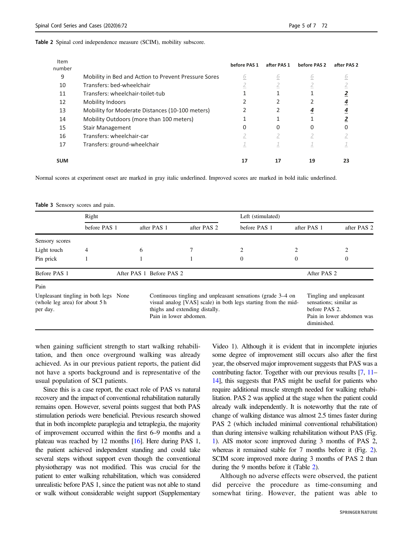#### <span id="page-4-0"></span>Table 2 Spinal cord independence measure (SCIM), mobility subscore.

| Item<br>number |                                                      | before PAS 1 | after PAS 1 | before PAS 2 | after PAS 2 |
|----------------|------------------------------------------------------|--------------|-------------|--------------|-------------|
| 9              | Mobility in Bed and Action to Prevent Pressure Sores | 6            | 6           | 6            | <u>6</u>    |
| 10             | Transfers: bed-wheelchair                            |              |             | 4            |             |
| 11             | Transfers: wheelchair-toilet-tub                     |              |             |              |             |
| 12             | <b>Mobility Indoors</b>                              |              |             |              |             |
| 13             | Mobility for Moderate Distances (10-100 meters)      |              |             |              |             |
| 14             | Mobility Outdoors (more than 100 meters)             |              |             |              |             |
| 15             | <b>Stair Management</b>                              | 0            | 0           |              |             |
| 16             | Transfers: wheelchair-car                            |              |             | ∠            |             |
| 17             | Transfers: ground-wheelchair                         |              |             |              |             |
| <b>SUM</b>     |                                                      | 17           |             | 19           | 23          |

Normal scores at experiment onset are marked in gray italic underlined. Improved scores are marked in bold italic underlined.

Table 3 Sensory scores and pain.

|                                                                                     | Right        |             |                                                                                                                                                                                           | Left (stimulated) |             |                                                                                                                |  |
|-------------------------------------------------------------------------------------|--------------|-------------|-------------------------------------------------------------------------------------------------------------------------------------------------------------------------------------------|-------------------|-------------|----------------------------------------------------------------------------------------------------------------|--|
|                                                                                     | before PAS 1 | after PAS 1 | after PAS 2                                                                                                                                                                               | before PAS 1      | after PAS 1 | after PAS 2                                                                                                    |  |
| Sensory scores                                                                      |              |             |                                                                                                                                                                                           |                   |             |                                                                                                                |  |
| Light touch                                                                         | 4            | 6           |                                                                                                                                                                                           | 2                 |             | $\overline{c}$                                                                                                 |  |
| Pin prick                                                                           |              |             |                                                                                                                                                                                           | $\Omega$          | 0           | $\overline{0}$                                                                                                 |  |
| Before PAS 1<br>After PAS 1 Before PAS 2                                            |              |             | After PAS 2                                                                                                                                                                               |                   |             |                                                                                                                |  |
| Pain                                                                                |              |             |                                                                                                                                                                                           |                   |             |                                                                                                                |  |
| Unpleasant tingling in both legs None<br>(whole leg area) for about 5 h<br>per day. |              |             | Continuous tingling and unpleasant sensations (grade 3–4 on<br>visual analog [VAS] scale) in both legs starting from the mid-<br>thighs and extending distally.<br>Pain in lower abdomen. |                   |             | Tingling and unpleasant<br>sensations; similar as<br>before PAS 2.<br>Pain in lower abdomen was<br>diminished. |  |

when gaining sufficient strength to start walking rehabilitation, and then once overground walking was already achieved. As in our previous patient reports, the patient did not have a sports background and is representative of the usual population of SCI patients.

Since this is a case report, the exact role of PAS vs natural recovery and the impact of conventional rehabilitation naturally remains open. However, several points suggest that both PAS stimulation periods were beneficial. Previous research showed that in both incomplete paraplegia and tetraplegia, the majority of improvement occurred within the first 6–9 months and a plateau was reached by 12 months [[16](#page-6-0)]. Here during PAS 1, the patient achieved independent standing and could take several steps without support even though the conventional physiotherapy was not modified. This was crucial for the patient to enter walking rehabilitation, which was considered unrealistic before PAS 1, since the patient was not able to stand or walk without considerable weight support (Supplementary

Video 1). Although it is evident that in incomplete injuries some degree of improvement still occurs also after the first year, the observed major improvement suggests that PAS was a contributing factor. Together with our previous results [[7](#page-5-0), [11](#page-5-0)– [14\]](#page-6-0), this suggests that PAS might be useful for patients who require additional muscle strength needed for walking rehabilitation. PAS 2 was applied at the stage when the patient could already walk independently. It is noteworthy that the rate of change of walking distance was almost 2.5 times faster during PAS 2 (which included minimal conventional rehabilitation) than during intensive walking rehabilitation without PAS (Fig. [1\)](#page-3-0). AIS motor score improved during 3 months of PAS 2, whereas it remained stable for 7 months before it (Fig. [2\)](#page-3-0). SCIM score improved more during 3 months of PAS 2 than during the 9 months before it (Table 2).

Although no adverse effects were observed, the patient did perceive the procedure as time-consuming and somewhat tiring. However, the patient was able to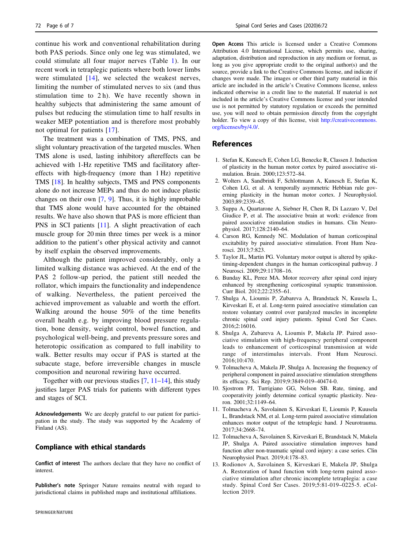<span id="page-5-0"></span>continue his work and conventional rehabilitation during both PAS periods. Since only one leg was stimulated, we could stimulate all four major nerves (Table [1](#page-1-0)). In our recent work in tetraplegic patients where both lower limbs were stimulated [\[14](#page-6-0)], we selected the weakest nerves, limiting the number of stimulated nerves to six (and thus stimulation time to  $2 h$ ). We have recently shown in healthy subjects that administering the same amount of pulses but reducing the stimulation time to half results in weaker MEP potentiation and is therefore most probably not optimal for patients [[17](#page-6-0)].

The treatment was a combination of TMS, PNS, and slight voluntary preactivation of the targeted muscles. When TMS alone is used, lasting inhibitory aftereffects can be achieved with 1-Hz repetitive TMS and facilitatory aftereffects with high-frequency (more than 1 Hz) repetitive TMS [[18\]](#page-6-0). In healthy subjects, TMS and PNS components alone do not increase MEPs and thus do not induce plastic changes on their own [7, 9]. Thus, it is highly improbable that TMS alone would have accounted for the obtained results. We have also shown that PAS is more efficient than PNS in SCI patients [11]. A slight preactivation of each muscle group for 20 min three times per week is a minor addition to the patient's other physical activity and cannot by itself explain the observed improvements.

Although the patient improved considerably, only a limited walking distance was achieved. At the end of the PAS 2 follow-up period, the patient still needed the rollator, which impairs the functionality and independence of walking. Nevertheless, the patient perceived the achieved improvement as valuable and worth the effort. Walking around the house 50% of the time benefits overall health e.g. by improving blood pressure regulation, bone density, weight control, bowel function, and psychological well-being, and prevents pressure sores and heterotopic ossification as compared to full inability to walk. Better results may occur if PAS is started at the subacute stage, before irreversible changes in muscle composition and neuronal rewiring have occurred.

Together with our previous studies  $[7, 11–14]$  $[7, 11–14]$  $[7, 11–14]$ , this study justifies larger PAS trials for patients with different types and stages of SCI.

Acknowledgements We are deeply grateful to our patient for participation in the study. The study was supported by the Academy of Finland (AS).

### Compliance with ethical standards

Conflict of interest The authors declare that they have no conflict of interest.

Publisher's note Springer Nature remains neutral with regard to jurisdictional claims in published maps and institutional affiliations.

Open Access This article is licensed under a Creative Commons Attribution 4.0 International License, which permits use, sharing, adaptation, distribution and reproduction in any medium or format, as long as you give appropriate credit to the original author(s) and the source, provide a link to the Creative Commons license, and indicate if changes were made. The images or other third party material in this article are included in the article's Creative Commons license, unless indicated otherwise in a credit line to the material. If material is not included in the article's Creative Commons license and your intended use is not permitted by statutory regulation or exceeds the permitted use, you will need to obtain permission directly from the copyright holder. To view a copy of this license, visit [http://creativecommons.](http://creativecommons.org/licenses/by/4.0/) [org/licenses/by/4.0/](http://creativecommons.org/licenses/by/4.0/).

### References

- 1. Stefan K, Kunesch E, Cohen LG, Benecke R, Classen J. Induction of plasticity in the human motor cortex by paired associative stimulation. Brain. 2000;123:572–84.
- 2. Wolters A, Sandbrink F, Schlottmann A, Kunesch E, Stefan K, Cohen LG, et al. A temporally asymmetric Hebbian rule governing plasticity in the human motor cortex. J Neurophysiol. 2003;89:2339–45.
- 3. Suppa A, Quartarone A, Siebner H, Chen R, Di Lazzaro V, Del Giudice P, et al. The associative brain at work: evidence from paired associative stimulation studies in humans. Clin Neurophysiol. 2017;128:2140–64.
- 4. Carson RG, Kennedy NC. Modulation of human corticospinal excitability by paired associative stimulation. Front Hum Neurosci. 2013;7:823.
- 5. Taylor JL, Martin PG. Voluntary motor output is altered by spiketiming-dependent changes in the human corticospinal pathway. J Neurosci. 2009;29:11708–16.
- 6. Bunday KL, Perez MA. Motor recovery after spinal cord injury enhanced by strengthening corticospinal synaptic transmission. Curr Biol. 2012;22:2355–61.
- 7. Shulga A, Lioumis P, Zubareva A, Brandstack N, Kuusela L, Kirveskari E, et al. Long-term paired associative stimulation can restore voluntary control over paralyzed muscles in incomplete chronic spinal cord injury patients. Spinal Cord Ser Cases. 2016;2:16016.
- 8. Shulga A, Zubareva A, Lioumis P, Makela JP. Paired associative stimulation with high-frequency peripheral component leads to enhancement of corticospinal transmission at wide range of interstimulus intervals. Front Hum Neurosci. 2016;10:470.
- 9. Tolmacheva A, Makela JP, Shulga A. Increasing the frequency of peripheral component in paired associative stimulation strengthens its efficacy. Sci Rep. 2019;9:3849-019–40474-0.
- 10. Sjostrom PJ, Turrigiano GG, Nelson SB. Rate, timing, and cooperativity jointly determine cortical synaptic plasticity. Neuron. 2001;32:1149–64.
- 11. Tolmacheva A, Savolainen S, Kirveskari E, Lioumis P, Kuusela L, Brandstack NM, et al. Long-term paired associative stimulation enhances motor output of the tetraplegic hand. J Neurotrauma. 2017;34:2668–74.
- 12. Tolmacheva A, Savolainen S, Kirveskari E, Brandstack N, Makela JP, Shulga A. Paired associative stimulation improves hand function after non-traumatic spinal cord injury: a case series. Clin Neurophysiol Pract. 2019;4:178–83.
- 13. Rodionov A, Savolainen S, Kirveskari E, Makela JP, Shulga A. Restoration of hand function with long-term paired associative stimulation after chronic incomplete tetraplegia: a case study. Spinal Cord Ser Cases. 2019;5:81-019–0225-5. eCollection 2019.